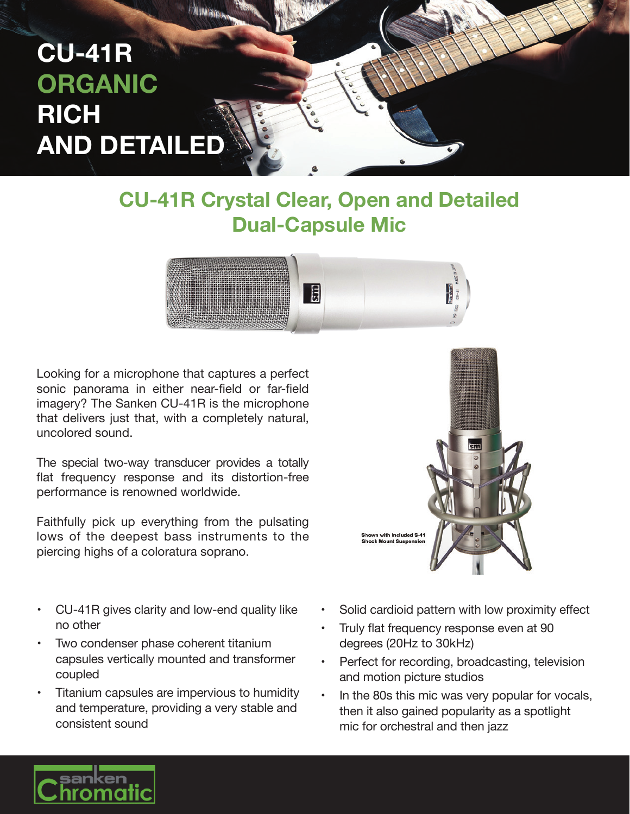

## **CU-41R Crystal Clear, Open and Detailed Dual-Capsule Mic**



Looking for a microphone that captures a perfect sonic panorama in either near-field or far-field imagery? The Sanken CU-41R is the microphone that delivers just that, with a completely natural, uncolored sound.

The special two-way transducer provides a totally flat frequency response and its distortion-free performance is renowned worldwide.

Faithfully pick up everything from the pulsating lows of the deepest bass instruments to the piercing highs of a coloratura soprano.

- with Included S-41 **Mount Suspensio**
- CU-41R gives clarity and low-end quality like no other
- Two condenser phase coherent titanium capsules vertically mounted and transformer coupled
- Titanium capsules are impervious to humidity and temperature, providing a very stable and consistent sound
- Solid cardioid pattern with low proximity effect
- Truly flat frequency response even at 90 degrees (20Hz to 30kHz)
- Perfect for recording, broadcasting, television and motion picture studios
- In the 80s this mic was very popular for vocals, then it also gained popularity as a spotlight mic for orchestral and then jazz